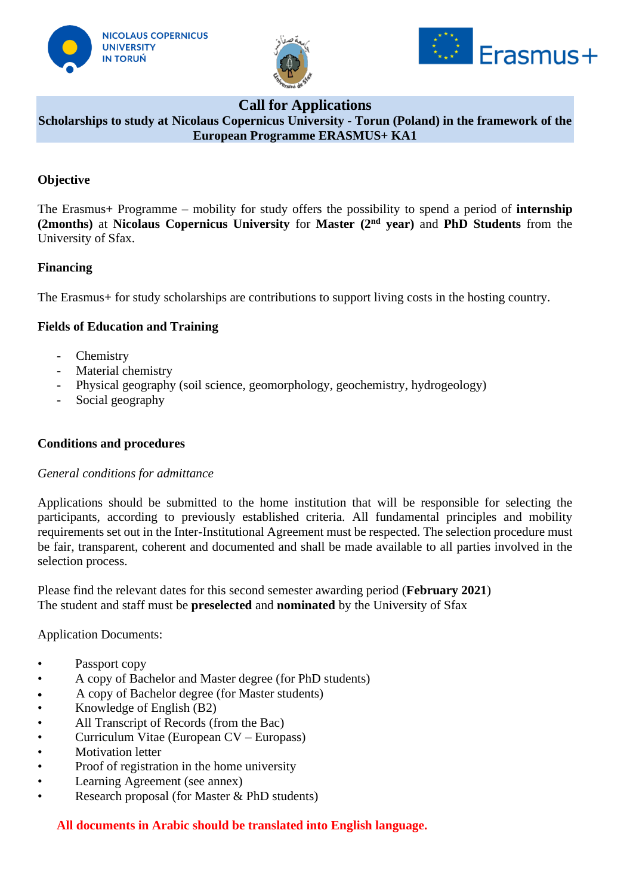





# **Call for Applications**

**Scholarships to study at Nicolaus Copernicus University - Torun (Poland) in the framework of the European Programme ERASMUS+ KA1**

### **Objective**

The Erasmus+ Programme – mobility for study offers the possibility to spend a period of **internship (2months)** at **Nicolaus Copernicus University** for **Master (2nd year)** and **PhD Students** from the University of Sfax.

### **Financing**

The Erasmus+ for study scholarships are contributions to support living costs in the hosting country.

## **Fields of Education and Training**

- Chemistry
- Material chemistry
- Physical geography (soil science, geomorphology, geochemistry, hydrogeology)
- Social geography

### **Conditions and procedures**

### *General conditions for admittance*

Applications should be submitted to the home institution that will be responsible for selecting the participants, according to previously established criteria. All fundamental principles and mobility requirements set out in the Inter-Institutional Agreement must be respected. The selection procedure must be fair, transparent, coherent and documented and shall be made available to all parties involved in the selection process.

Please find the relevant dates for this second semester awarding period (**February 2021**) The student and staff must be **preselected** and **nominated** by the University of Sfax

Application Documents:

- Passport copy
- A copy of Bachelor and Master degree (for PhD students)
- A copy of Bachelor degree (for Master students)
- Knowledge of English (B2)
- All Transcript of Records (from the Bac)
- Curriculum Vitae (European CV Europass)
- **Motivation letter**
- Proof of registration in the home university
- Learning Agreement (see annex)
- Research proposal (for Master & PhD students)

### **All documents in Arabic should be translated into English language.**